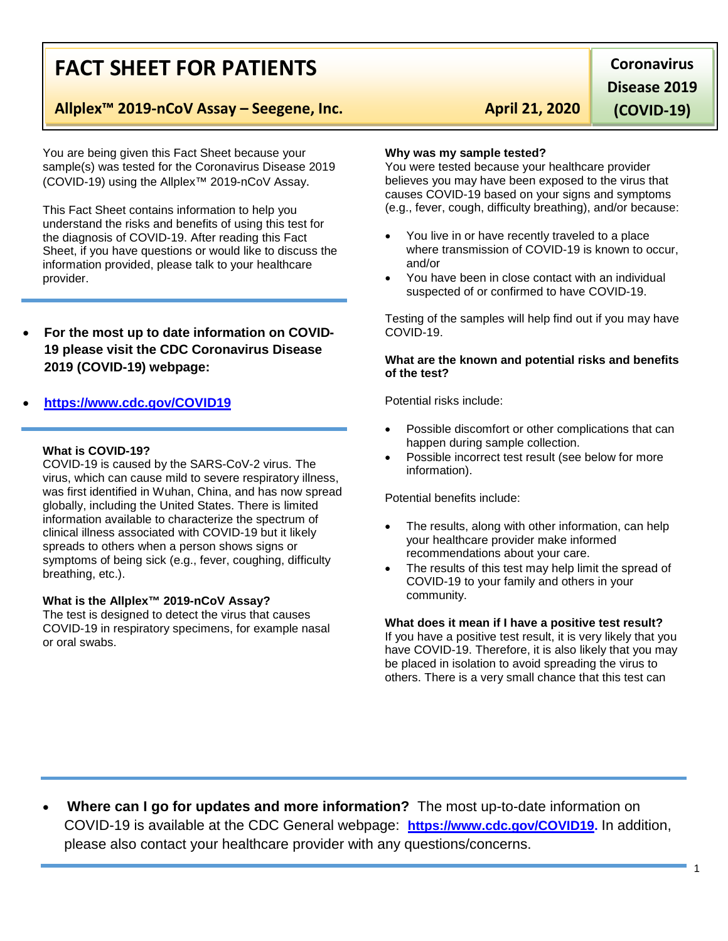# **FACT SHEET FOR PATIENTS**

# **Allplex™ 2019-nCoV Assay – Seegene, Inc. April 21, 2020**

You are being given this Fact Sheet because your sample(s) was tested for the Coronavirus Disease 2019 (COVID-19) using the Allplex™ 2019-nCoV Assay.

This Fact Sheet contains information to help you understand the risks and benefits of using this test for the diagnosis of COVID-19. After reading this Fact Sheet, if you have questions or would like to discuss the information provided, please talk to your healthcare provider.

• **For the most up to date information on COVID-19 please visit the CDC Coronavirus Disease 2019 (COVID-19) webpage:** 

# • **[https://www.cdc.gov/COVID19](https://www.cdc.gov/nCoV)**

#### **What is COVID-19?**

COVID-19 is caused by the SARS-CoV-2 virus. The virus, which can cause mild to severe respiratory illness, was first identified in Wuhan, China, and has now spread globally, including the United States. There is limited information available to characterize the spectrum of clinical illness associated with COVID-19 but it likely spreads to others when a person shows signs or symptoms of being sick (e.g., fever, coughing, difficulty breathing, etc.).

## **What is the Allplex™ 2019-nCoV Assay?**

The test is designed to detect the virus that causes COVID-19 in respiratory specimens, for example nasal or oral swabs.

**Why was my sample tested?**

You were tested because your healthcare provider believes you may have been exposed to the virus that causes COVID-19 based on your signs and symptoms (e.g., fever, cough, difficulty breathing), and/or because:

- You live in or have recently traveled to a place where transmission of COVID-19 is known to occur, and/or
- You have been in close contact with an individual suspected of or confirmed to have COVID-19.

Testing of the samples will help find out if you may have COVID-19.

### **What are the known and potential risks and benefits of the test?**

Potential risks include:

- Possible discomfort or other complications that can happen during sample collection.
- Possible incorrect test result (see below for more information).

Potential benefits include:

- The results, along with other information, can help your healthcare provider make informed recommendations about your care.
- The results of this test may help limit the spread of COVID-19 to your family and others in your community.

### **What does it mean if I have a positive test result?**

If you have a positive test result, it is very likely that you have COVID-19. Therefore, it is also likely that you may be placed in isolation to avoid spreading the virus to others. There is a very small chance that this test can

• **Where can I go for updates and more information?** The most up-to-date information on COVID-19 is available at the CDC General webpage: **[https://www.cdc.gov/COVID19.](https://www.cdc.gov/nCoV)** In addition, please also contact your healthcare provider with any questions/concerns.

**Coronavirus Disease 2019** 

**(COVID-19)**

1